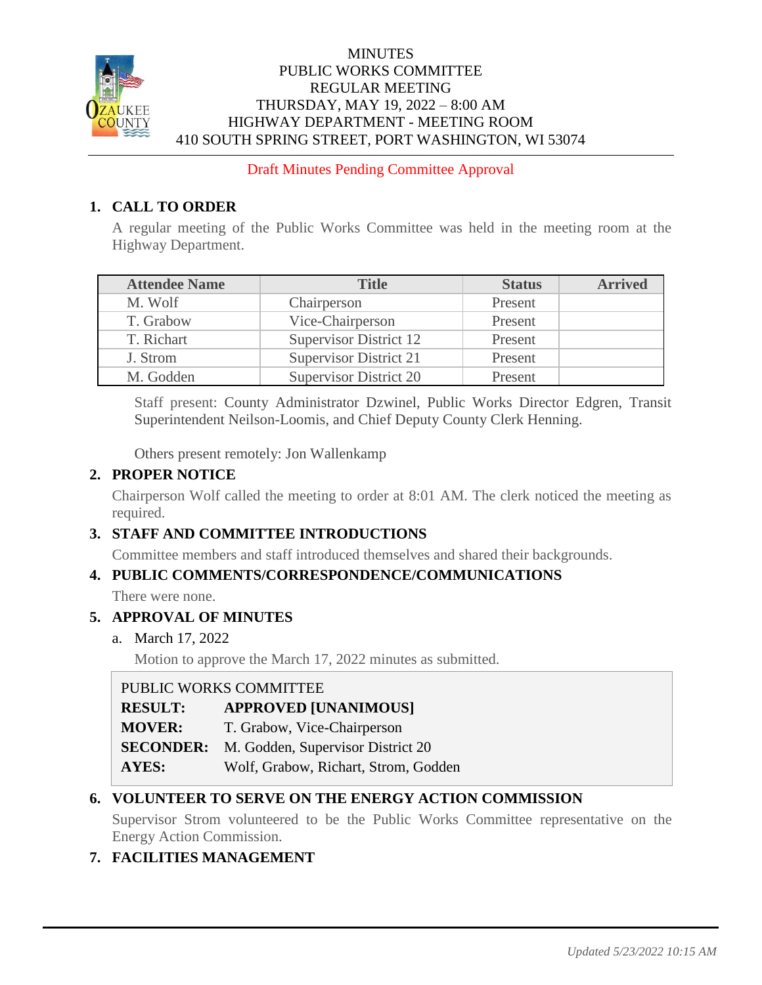

# **MINUTES** PUBLIC WORKS COMMITTEE REGULAR MEETING THURSDAY, MAY 19, 2022 – 8:00 AM HIGHWAY DEPARTMENT - MEETING ROOM 410 SOUTH SPRING STREET, PORT WASHINGTON, WI 53074

Draft Minutes Pending Committee Approval

# **1. CALL TO ORDER**

A regular meeting of the Public Works Committee was held in the meeting room at the Highway Department.

| <b>Attendee Name</b> | <b>Title</b>                  | <b>Status</b> | <b>Arrived</b> |
|----------------------|-------------------------------|---------------|----------------|
| M. Wolf              | Chairperson                   | Present       |                |
| T. Grabow            | Vice-Chairperson              | Present       |                |
| T. Richart           | <b>Supervisor District 12</b> | Present       |                |
| J. Strom             | <b>Supervisor District 21</b> | Present       |                |
| M. Godden            | <b>Supervisor District 20</b> | Present       |                |

Staff present: County Administrator Dzwinel, Public Works Director Edgren, Transit Superintendent Neilson-Loomis, and Chief Deputy County Clerk Henning.

Others present remotely: Jon Wallenkamp

# **2. PROPER NOTICE**

Chairperson Wolf called the meeting to order at 8:01 AM. The clerk noticed the meeting as required.

# **3. STAFF AND COMMITTEE INTRODUCTIONS**

Committee members and staff introduced themselves and shared their backgrounds.

# **4. PUBLIC COMMENTS/CORRESPONDENCE/COMMUNICATIONS**

There were none.

# **5. APPROVAL OF MINUTES**

a. March 17, 2022

Motion to approve the March 17, 2022 minutes as submitted.

# PUBLIC WORKS COMMITTEE

| <b>RESULT:</b> | <b>APPROVED [UNANIMOUS]</b> |
|----------------|-----------------------------|
|                |                             |

**MOVER:** T. Grabow, Vice-Chairperson

- **SECONDER:** M. Godden, Supervisor District 20
- **AYES:** Wolf, Grabow, Richart, Strom, Godden

# **6. VOLUNTEER TO SERVE ON THE ENERGY ACTION COMMISSION**

Supervisor Strom volunteered to be the Public Works Committee representative on the Energy Action Commission.

# **7. FACILITIES MANAGEMENT**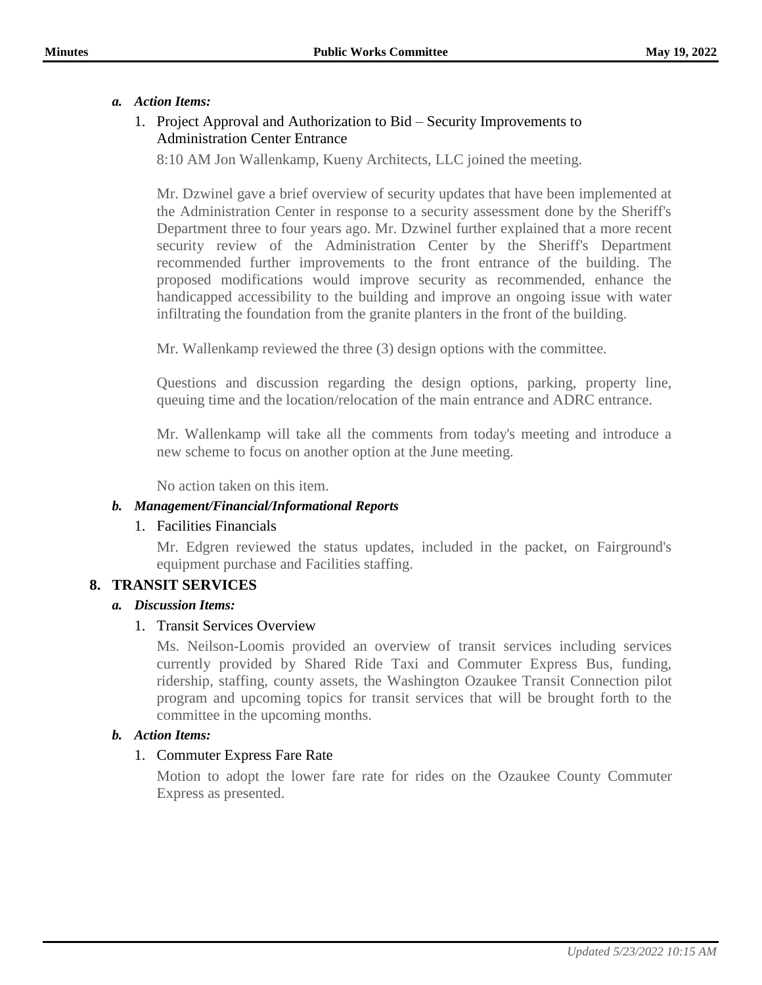#### *a. Action Items:*

## 1. Project Approval and Authorization to Bid – Security Improvements to Administration Center Entrance

8:10 AM Jon Wallenkamp, Kueny Architects, LLC joined the meeting.

Mr. Dzwinel gave a brief overview of security updates that have been implemented at the Administration Center in response to a security assessment done by the Sheriff's Department three to four years ago. Mr. Dzwinel further explained that a more recent security review of the Administration Center by the Sheriff's Department recommended further improvements to the front entrance of the building. The proposed modifications would improve security as recommended, enhance the handicapped accessibility to the building and improve an ongoing issue with water infiltrating the foundation from the granite planters in the front of the building.

Mr. Wallenkamp reviewed the three (3) design options with the committee.

Questions and discussion regarding the design options, parking, property line, queuing time and the location/relocation of the main entrance and ADRC entrance.

Mr. Wallenkamp will take all the comments from today's meeting and introduce a new scheme to focus on another option at the June meeting.

No action taken on this item.

#### *b. Management/Financial/Informational Reports*

#### 1. Facilities Financials

Mr. Edgren reviewed the status updates, included in the packet, on Fairground's equipment purchase and Facilities staffing.

# **8. TRANSIT SERVICES**

#### *a. Discussion Items:*

#### 1. Transit Services Overview

Ms. Neilson-Loomis provided an overview of transit services including services currently provided by Shared Ride Taxi and Commuter Express Bus, funding, ridership, staffing, county assets, the Washington Ozaukee Transit Connection pilot program and upcoming topics for transit services that will be brought forth to the committee in the upcoming months.

#### *b. Action Items:*

# 1. Commuter Express Fare Rate

Motion to adopt the lower fare rate for rides on the Ozaukee County Commuter Express as presented.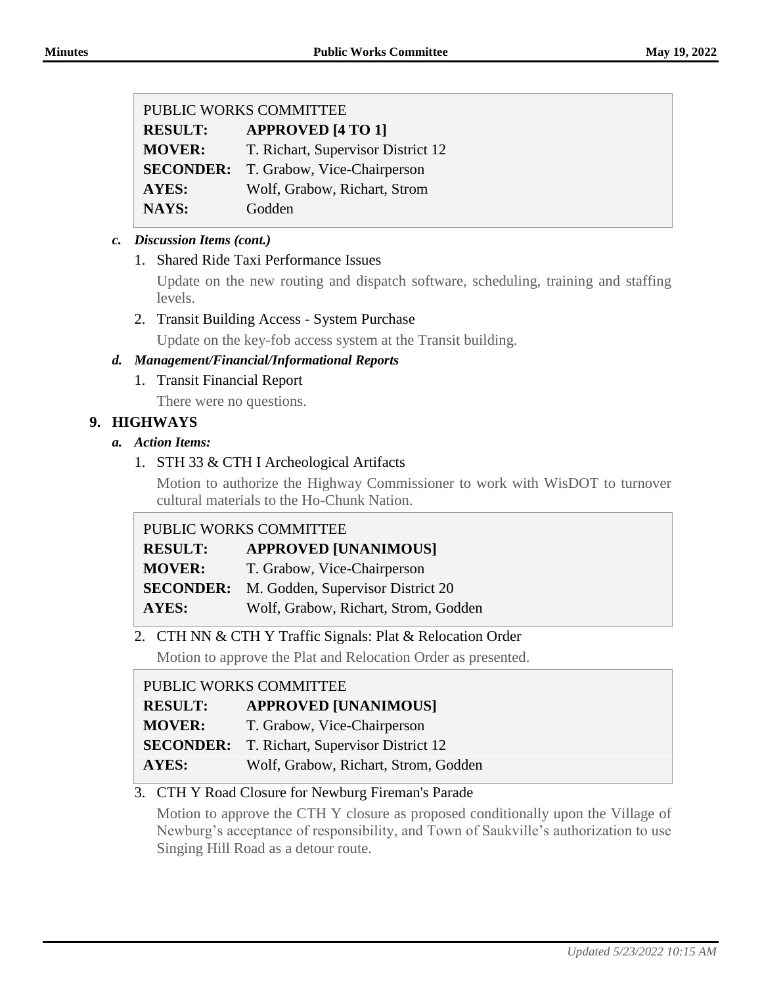| PUBLIC WORKS COMMITTEE |                                              |  |
|------------------------|----------------------------------------------|--|
| <b>RESULT:</b>         | <b>APPROVED [4 TO 1]</b>                     |  |
| <b>MOVER:</b>          | T. Richart, Supervisor District 12           |  |
|                        | <b>SECONDER:</b> T. Grabow, Vice-Chairperson |  |
| <b>AYES:</b>           | Wolf, Grabow, Richart, Strom                 |  |
| <b>NAYS:</b>           | Godden                                       |  |

## *c. Discussion Items (cont.)*

#### 1. Shared Ride Taxi Performance Issues

Update on the new routing and dispatch software, scheduling, training and staffing levels.

2. Transit Building Access - System Purchase

Update on the key-fob access system at the Transit building.

## *d. Management/Financial/Informational Reports*

1. Transit Financial Report

There were no questions.

# **9. HIGHWAYS**

## *a. Action Items:*

# 1. STH 33 & CTH I Archeological Artifacts

Motion to authorize the Highway Commissioner to work with WisDOT to turnover cultural materials to the Ho-Chunk Nation.

# PUBLIC WORKS COMMITTEE

| <b>RESULT:</b> | <b>APPROVED [UNANIMOUS]</b>                        |
|----------------|----------------------------------------------------|
| <b>MOVER:</b>  | T. Grabow, Vice-Chairperson                        |
|                | <b>SECONDER:</b> M. Godden, Supervisor District 20 |
| <b>AYES:</b>   | Wolf, Grabow, Richart, Strom, Godden               |

# 2. CTH NN & CTH Y Traffic Signals: Plat & Relocation Order

Motion to approve the Plat and Relocation Order as presented.

# PUBLIC WORKS COMMITTEE

- **RESULT: APPROVED [UNANIMOUS]**
- **MOVER:** T. Grabow, Vice-Chairperson
- **SECONDER:** T. Richart, Supervisor District 12
- **AYES:** Wolf, Grabow, Richart, Strom, Godden

# 3. CTH Y Road Closure for Newburg Fireman's Parade

Motion to approve the CTH Y closure as proposed conditionally upon the Village of Newburg's acceptance of responsibility, and Town of Saukville's authorization to use Singing Hill Road as a detour route.